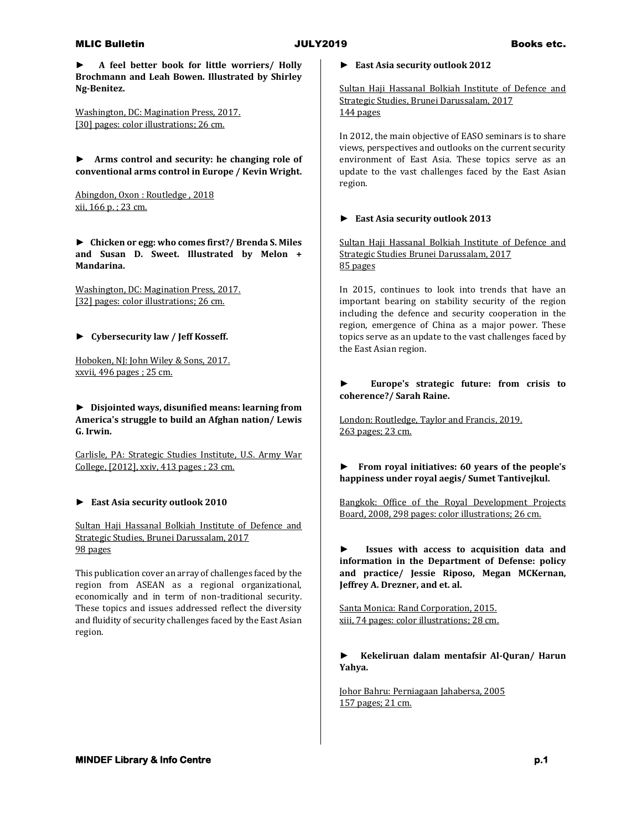#### MLIC Bulletin **Books etc. JULY2019** Books etc.

**► A feel better book for little worriers/ Holly Brochmann and Leah Bowen. Illustrated by Shirley Ng-Benitez.**

Washington, DC: Magination Press, 2017. [30] pages: color illustrations; 26 cm.

**► Arms control and security: he changing role of conventional arms control in Europe / Kevin Wright.**

Abingdon, Oxon : Routledge , 2018 xii, 166 p. ; 23 cm.

**► Chicken or egg: who comes first?/ Brenda S. Miles and Susan D. Sweet. Illustrated by Melon + Mandarina.**

Washington, DC: Magination Press, 2017. [32] pages: color illustrations; 26 cm.

**► Cybersecurity law / Jeff Kosseff.**

Hoboken, NJ: John Wiley & Sons, 2017. xxvii, 496 pages ; 25 cm.

**► Disjointed ways, disunified means: learning from America's struggle to build an Afghan nation/ Lewis G. Irwin.**

Carlisle, PA: Strategic Studies Institute, U.S. Army War College, [2012], xxiv, 413 pages ; 23 cm.

## **► East Asia security outlook 2010**

Sultan Haji Hassanal Bolkiah Institute of Defence and Strategic Studies, Brunei Darussalam, 2017 98 pages

This publication cover an array of challenges faced by the region from ASEAN as a regional organizational, economically and in term of non-traditional security. These topics and issues addressed reflect the diversity and fluidity of security challenges faced by the East Asian region.

**► East Asia security outlook 2012**

Sultan Haji Hassanal Bolkiah Institute of Defence and Strategic Studies, Brunei Darussalam, 2017 144 pages

In 2012, the main objective of EASO seminars is to share views, perspectives and outlooks on the current security environment of East Asia. These topics serve as an update to the vast challenges faced by the East Asian region.

#### **► East Asia security outlook 2013**

Sultan Haji Hassanal Bolkiah Institute of Defence and Strategic Studies Brunei Darussalam, 2017 85 pages

In 2015, continues to look into trends that have an important bearing on stability security of the region including the defence and security cooperation in the region, emergence of China as a major power. These topics serve as an update to the vast challenges faced by the East Asian region.

#### **► Europe's strategic future: from crisis to coherence?/ Sarah Raine.**

London: Routledge, Taylor and Francis, 2019. 263 pages; 23 cm.

**► From royal initiatives: 60 years of the people's happiness under royal aegis/ Sumet Tantivejkul.**

Bangkok: Office of the Royal Development Projects Board, 2008, 298 pages: color illustrations; 26 cm.

**► Issues with access to acquisition data and information in the Department of Defense: policy and practice/ Jessie Riposo, Megan MCKernan, Jeffrey A. Drezner, and et. al.**

Santa Monica: Rand Corporation, 2015. xiii, 74 pages: color illustrations; 28 cm.

**► Kekeliruan dalam mentafsir Al-Quran/ Harun Yahya.**

Johor Bahru: Perniagaan Jahabersa, 2005 157 pages; 21 cm.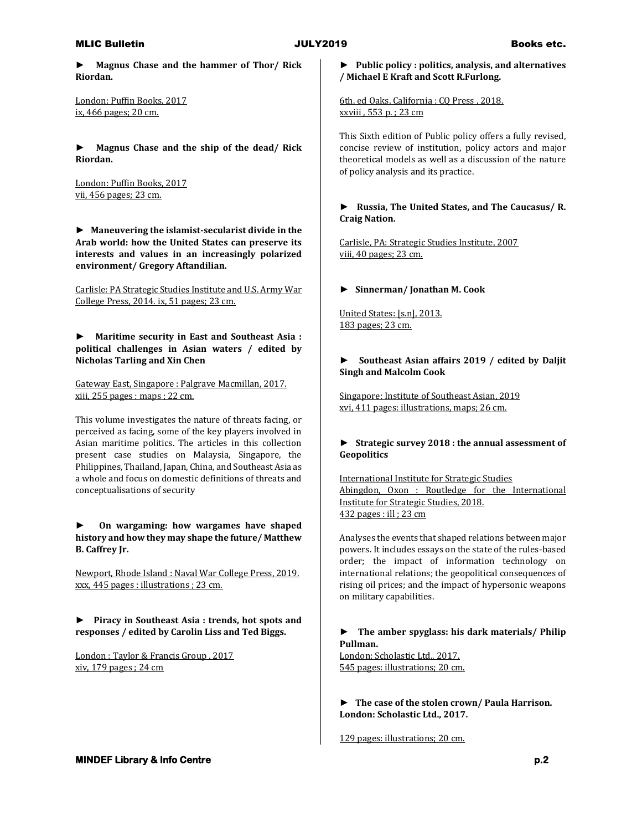#### MLIC Bulletin **Books etc. JULY2019** Books etc.

**► Magnus Chase and the hammer of Thor/ Rick Riordan.**

London: Puffin Books, 2017 ix, 466 pages; 20 cm.

**► Magnus Chase and the ship of the dead/ Rick Riordan.**

London: Puffin Books, 2017 vii, 456 pages; 23 cm.

**► Maneuvering the islamist-secularist divide in the Arab world: how the United States can preserve its interests and values in an increasingly polarized environment/ Gregory Aftandilian.**

Carlisle: PA Strategic Studies Institute and U.S. Army War College Press, 2014. ix, 51 pages; 23 cm.

**► Maritime security in East and Southeast Asia : political challenges in Asian waters / edited by Nicholas Tarling and Xin Chen**

Gateway East, Singapore : Palgrave Macmillan, 2017. xiii, 255 pages : maps ; 22 cm.

This volume investigates the nature of threats facing, or perceived as facing, some of the key players involved in Asian maritime politics. The articles in this collection present case studies on Malaysia, Singapore, the Philippines, Thailand, Japan, China, and Southeast Asia as a whole and focus on domestic definitions of threats and conceptualisations of security

**► On wargaming: how wargames have shaped history and how they may shape the future/ Matthew B. Caffrey Jr.**

Newport, Rhode Island : Naval War College Press, 2019. xxx, 445 pages : illustrations ; 23 cm.

**► Piracy in Southeast Asia : trends, hot spots and responses / edited by Carolin Liss and Ted Biggs.**

London : Taylor & Francis Group , 2017 xiv, 179 pages ; 24 cm

## **► Public policy : politics, analysis, and alternatives / Michael E Kraft and Scott R.Furlong.**

6th. ed Oaks, California : CQ Press , 2018. xxviii , 553 p. ; 23 cm

This Sixth edition of Public policy offers a fully revised, concise review of institution, policy actors and major theoretical models as well as a discussion of the nature of policy analysis and its practice.

## **► Russia, The United States, and The Caucasus/ R. Craig Nation.**

Carlisle, PA: Strategic Studies Institute, 2007 viii, 40 pages; 23 cm.

## **► Sinnerman/ Jonathan M. Cook**

United States: [s.n], 2013. 183 pages; 23 cm.

## **► Southeast Asian affairs 2019 / edited by Daljit Singh and Malcolm Cook**

Singapore: Institute of Southeast Asian, 2019 xvi, 411 pages: illustrations, maps; 26 cm.

## **► Strategic survey 2018 : the annual assessment of Geopolitics**

International Institute for Strategic Studies Abingdon, Oxon : Routledge for the International Institute for Strategic Studies, 2018. 432 pages : ill ; 23 cm

Analyses the events that shaped relations between major powers. It includes essays on the state of the rules-based order; the impact of information technology on international relations; the geopolitical consequences of rising oil prices; and the impact of hypersonic weapons on military capabilities.

## **► The amber spyglass: his dark materials/ Philip Pullman.**

London: Scholastic Ltd., 2017. 545 pages: illustrations; 20 cm.

**► The case of the stolen crown/ Paula Harrison. London: Scholastic Ltd., 2017.**

129 pages: illustrations; 20 cm.

## **MINDEF Library & Info Centre p.2 p.2**